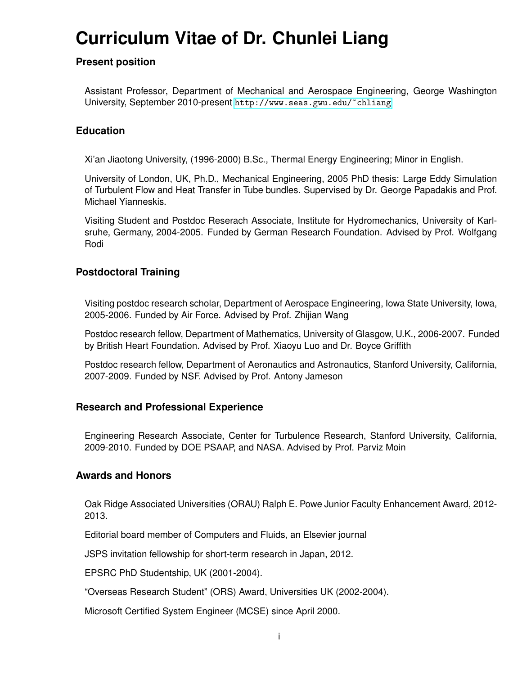# **Curriculum Vitae of Dr. Chunlei Liang**

# **Present position**

Assistant Professor, Department of Mechanical and Aerospace Engineering, George Washington University, September 2010-present <http://www.seas.gwu.edu/~chliang>

## **Education**

Xi'an Jiaotong University, (1996-2000) B.Sc., Thermal Energy Engineering; Minor in English.

University of London, UK, Ph.D., Mechanical Engineering, 2005 PhD thesis: Large Eddy Simulation of Turbulent Flow and Heat Transfer in Tube bundles. Supervised by Dr. George Papadakis and Prof. Michael Yianneskis.

Visiting Student and Postdoc Reserach Associate, Institute for Hydromechanics, University of Karlsruhe, Germany, 2004-2005. Funded by German Research Foundation. Advised by Prof. Wolfgang Rodi

## **Postdoctoral Training**

Visiting postdoc research scholar, Department of Aerospace Engineering, Iowa State University, Iowa, 2005-2006. Funded by Air Force. Advised by Prof. Zhijian Wang

Postdoc research fellow, Department of Mathematics, University of Glasgow, U.K., 2006-2007. Funded by British Heart Foundation. Advised by Prof. Xiaoyu Luo and Dr. Boyce Griffith

Postdoc research fellow, Department of Aeronautics and Astronautics, Stanford University, California, 2007-2009. Funded by NSF. Advised by Prof. Antony Jameson

## **Research and Professional Experience**

Engineering Research Associate, Center for Turbulence Research, Stanford University, California, 2009-2010. Funded by DOE PSAAP, and NASA. Advised by Prof. Parviz Moin

## **Awards and Honors**

Oak Ridge Associated Universities (ORAU) Ralph E. Powe Junior Faculty Enhancement Award, 2012- 2013.

Editorial board member of Computers and Fluids, an Elsevier journal

JSPS invitation fellowship for short-term research in Japan, 2012.

EPSRC PhD Studentship, UK (2001-2004).

"Overseas Research Student" (ORS) Award, Universities UK (2002-2004).

Microsoft Certified System Engineer (MCSE) since April 2000.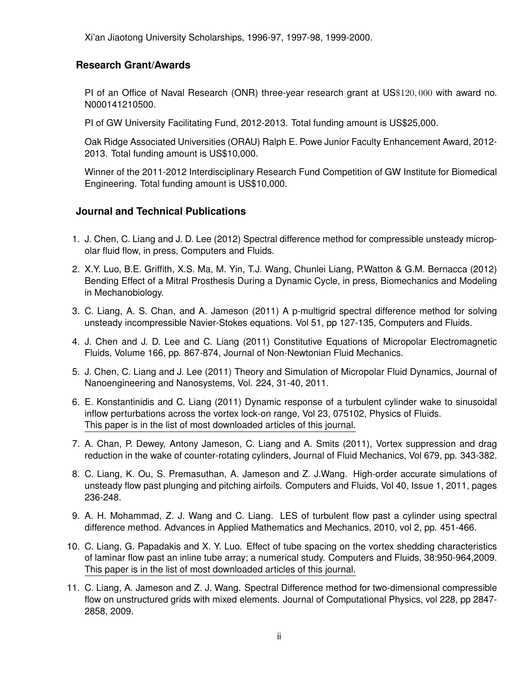Xi'an Jiaotong University Scholarships, 1996-97, 1997-98, 1999-2000.

#### **Research Grant/Awards**

PI of an Office of Naval Research (ONR) three-year research grant at US\$120, 000 with award no. N000141210500.

PI of GW University Facilitating Fund, 2012-2013. Total funding amount is US\$25,000.

Oak Ridge Associated Universities (ORAU) Ralph E. Powe Junior Faculty Enhancement Award, 2012- 2013. Total funding amount is US\$10,000.

Winner of the 2011-2012 Interdisciplinary Research Fund Competition of GW Institute for Biomedical Engineering. Total funding amount is US\$10,000.

#### **Journal and Technical Publications**

- 1. J. Chen, C. Liang and J. D. Lee (2012) Spectral difference method for compressible unsteady micropolar fluid flow, in press, Computers and Fluids.
- 2. X.Y. Luo, B.E. Griffith, X.S. Ma, M. Yin, T.J. Wang, Chunlei Liang, P.Watton & G.M. Bernacca (2012) Bending Effect of a Mitral Prosthesis During a Dynamic Cycle, in press, Biomechanics and Modeling in Mechanobiology.
- 3. C. Liang, A. S. Chan, and A. Jameson (2011) A p-multigrid spectral difference method for solving unsteady incompressible Navier-Stokes equations. Vol 51, pp 127-135, Computers and Fluids.
- 4. J. Chen and J. D. Lee and C. Liang (2011) Constitutive Equations of Micropolar Electromagnetic Fluids, Volume 166, pp. 867-874, Journal of Non-Newtonian Fluid Mechanics.
- 5. J. Chen, C. Liang and J. Lee (2011) Theory and Simulation of Micropolar Fluid Dynamics, Journal of Nanoengineering and Nanosystems, Vol. 224, 31-40, 2011.
- 6. E. Konstantinidis and C. Liang (2011) Dynamic response of a turbulent cylinder wake to sinusoidal inflow perturbations across the vortex lock-on range, Vol 23, 075102, Physics of Fluids. This paper is in the list of most downloaded articles of this journal.
- 7. A. Chan, P. Dewey, Antony Jameson, C. Liang and A. Smits (2011), Vortex suppression and drag reduction in the wake of counter-rotating cylinders, Journal of Fluid Mechanics, Vol 679, pp. 343-382.
- 8. C. Liang, K. Ou, S. Premasuthan, A. Jameson and Z. J.Wang. High-order accurate simulations of unsteady flow past plunging and pitching airfoils. Computers and Fluids, Vol 40, Issue 1, 2011, pages 236-248.
- 9. A. H. Mohammad, Z. J. Wang and C. Liang. LES of turbulent flow past a cylinder using spectral difference method. Advances in Applied Mathematics and Mechanics, 2010, vol 2, pp. 451-466.
- 10. C. Liang, G. Papadakis and X. Y. Luo. Effect of tube spacing on the vortex shedding characteristics of laminar flow past an inline tube array; a numerical study. Computers and Fluids, 38:950-964,2009. This paper is in the list of most downloaded articles of this journal.
- 11. C. Liang, A. Jameson and Z. J. Wang. Spectral Difference method for two-dimensional compressible flow on unstructured grids with mixed elements. Journal of Computational Physics, vol 228, pp 2847- 2858, 2009.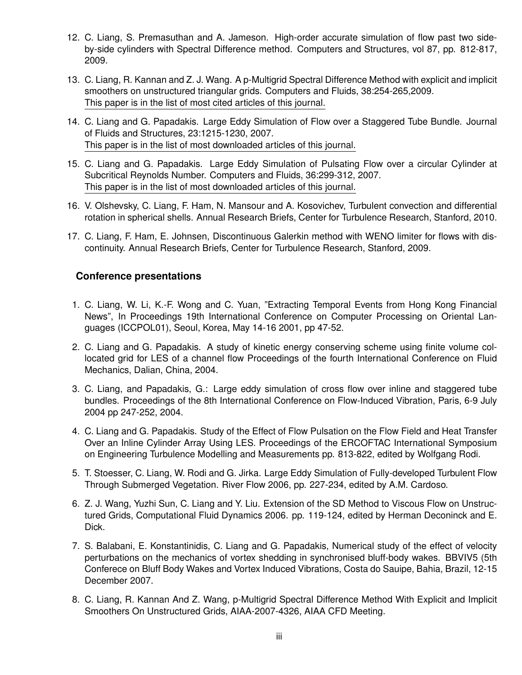- 12. C. Liang, S. Premasuthan and A. Jameson. High-order accurate simulation of flow past two sideby-side cylinders with Spectral Difference method. Computers and Structures, vol 87, pp. 812-817, 2009.
- 13. C. Liang, R. Kannan and Z. J. Wang. A p-Multigrid Spectral Difference Method with explicit and implicit smoothers on unstructured triangular grids. Computers and Fluids, 38:254-265,2009. This paper is in the list of most cited articles of this journal.
- 14. C. Liang and G. Papadakis. Large Eddy Simulation of Flow over a Staggered Tube Bundle. Journal of Fluids and Structures, 23:1215-1230, 2007. This paper is in the list of most downloaded articles of this journal.
- 15. C. Liang and G. Papadakis. Large Eddy Simulation of Pulsating Flow over a circular Cylinder at Subcritical Reynolds Number. Computers and Fluids, 36:299-312, 2007. This paper is in the list of most downloaded articles of this journal.
- 16. V. Olshevsky, C. Liang, F. Ham, N. Mansour and A. Kosovichev, Turbulent convection and differential rotation in spherical shells. Annual Research Briefs, Center for Turbulence Research, Stanford, 2010.
- 17. C. Liang, F. Ham, E. Johnsen, Discontinuous Galerkin method with WENO limiter for flows with discontinuity. Annual Research Briefs, Center for Turbulence Research, Stanford, 2009.

## **Conference presentations**

- 1. C. Liang, W. Li, K.-F. Wong and C. Yuan, "Extracting Temporal Events from Hong Kong Financial News", In Proceedings 19th International Conference on Computer Processing on Oriental Languages (ICCPOL01), Seoul, Korea, May 14-16 2001, pp 47-52.
- 2. C. Liang and G. Papadakis. A study of kinetic energy conserving scheme using finite volume collocated grid for LES of a channel flow Proceedings of the fourth International Conference on Fluid Mechanics, Dalian, China, 2004.
- 3. C. Liang, and Papadakis, G.: Large eddy simulation of cross flow over inline and staggered tube bundles. Proceedings of the 8th International Conference on Flow-Induced Vibration, Paris, 6-9 July 2004 pp 247-252, 2004.
- 4. C. Liang and G. Papadakis. Study of the Effect of Flow Pulsation on the Flow Field and Heat Transfer Over an Inline Cylinder Array Using LES. Proceedings of the ERCOFTAC International Symposium on Engineering Turbulence Modelling and Measurements pp. 813-822, edited by Wolfgang Rodi.
- 5. T. Stoesser, C. Liang, W. Rodi and G. Jirka. Large Eddy Simulation of Fully-developed Turbulent Flow Through Submerged Vegetation. River Flow 2006, pp. 227-234, edited by A.M. Cardoso.
- 6. Z. J. Wang, Yuzhi Sun, C. Liang and Y. Liu. Extension of the SD Method to Viscous Flow on Unstructured Grids, Computational Fluid Dynamics 2006. pp. 119-124, edited by Herman Deconinck and E. Dick.
- 7. S. Balabani, E. Konstantinidis, C. Liang and G. Papadakis, Numerical study of the effect of velocity perturbations on the mechanics of vortex shedding in synchronised bluff-body wakes. BBVIV5 (5th Conferece on Bluff Body Wakes and Vortex Induced Vibrations, Costa do Sauipe, Bahia, Brazil, 12-15 December 2007.
- 8. C. Liang, R. Kannan And Z. Wang, p-Multigrid Spectral Difference Method With Explicit and Implicit Smoothers On Unstructured Grids, AIAA-2007-4326, AIAA CFD Meeting.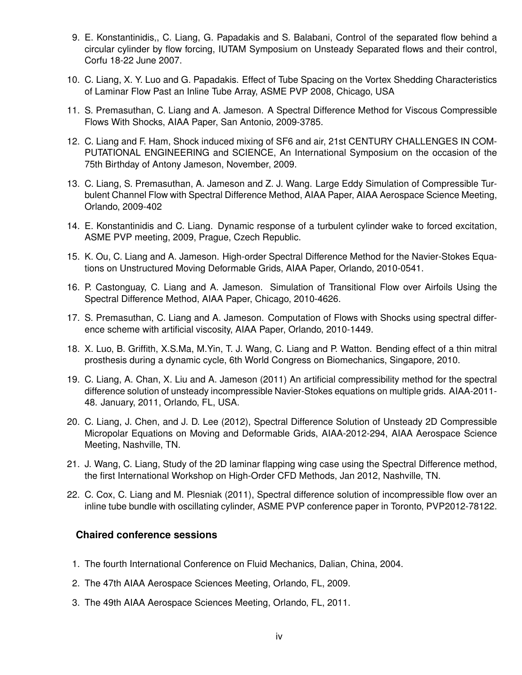- 9. E. Konstantinidis,, C. Liang, G. Papadakis and S. Balabani, Control of the separated flow behind a circular cylinder by flow forcing, IUTAM Symposium on Unsteady Separated flows and their control, Corfu 18-22 June 2007.
- 10. C. Liang, X. Y. Luo and G. Papadakis. Effect of Tube Spacing on the Vortex Shedding Characteristics of Laminar Flow Past an Inline Tube Array, ASME PVP 2008, Chicago, USA
- 11. S. Premasuthan, C. Liang and A. Jameson. A Spectral Difference Method for Viscous Compressible Flows With Shocks, AIAA Paper, San Antonio, 2009-3785.
- 12. C. Liang and F. Ham, Shock induced mixing of SF6 and air, 21st CENTURY CHALLENGES IN COM-PUTATIONAL ENGINEERING and SCIENCE, An International Symposium on the occasion of the 75th Birthday of Antony Jameson, November, 2009.
- 13. C. Liang, S. Premasuthan, A. Jameson and Z. J. Wang. Large Eddy Simulation of Compressible Turbulent Channel Flow with Spectral Difference Method, AIAA Paper, AIAA Aerospace Science Meeting, Orlando, 2009-402
- 14. E. Konstantinidis and C. Liang. Dynamic response of a turbulent cylinder wake to forced excitation, ASME PVP meeting, 2009, Prague, Czech Republic.
- 15. K. Ou, C. Liang and A. Jameson. High-order Spectral Difference Method for the Navier-Stokes Equations on Unstructured Moving Deformable Grids, AIAA Paper, Orlando, 2010-0541.
- 16. P. Castonguay, C. Liang and A. Jameson. Simulation of Transitional Flow over Airfoils Using the Spectral Difference Method, AIAA Paper, Chicago, 2010-4626.
- 17. S. Premasuthan, C. Liang and A. Jameson. Computation of Flows with Shocks using spectral difference scheme with artificial viscosity, AIAA Paper, Orlando, 2010-1449.
- 18. X. Luo, B. Griffith, X.S.Ma, M.Yin, T. J. Wang, C. Liang and P. Watton. Bending effect of a thin mitral prosthesis during a dynamic cycle, 6th World Congress on Biomechanics, Singapore, 2010.
- 19. C. Liang, A. Chan, X. Liu and A. Jameson (2011) An artificial compressibility method for the spectral difference solution of unsteady incompressible Navier-Stokes equations on multiple grids. AIAA-2011- 48. January, 2011, Orlando, FL, USA.
- 20. C. Liang, J. Chen, and J. D. Lee (2012), Spectral Difference Solution of Unsteady 2D Compressible Micropolar Equations on Moving and Deformable Grids, AIAA-2012-294, AIAA Aerospace Science Meeting, Nashville, TN.
- 21. J. Wang, C. Liang, Study of the 2D laminar flapping wing case using the Spectral Difference method, the first International Workshop on High-Order CFD Methods, Jan 2012, Nashville, TN.
- 22. C. Cox, C. Liang and M. Plesniak (2011), Spectral difference solution of incompressible flow over an inline tube bundle with oscillating cylinder, ASME PVP conference paper in Toronto, PVP2012-78122.

#### **Chaired conference sessions**

- 1. The fourth International Conference on Fluid Mechanics, Dalian, China, 2004.
- 2. The 47th AIAA Aerospace Sciences Meeting, Orlando, FL, 2009.
- 3. The 49th AIAA Aerospace Sciences Meeting, Orlando, FL, 2011.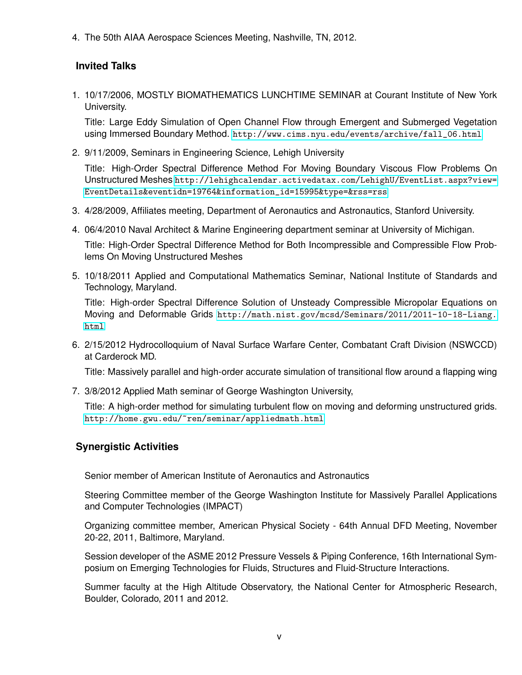4. The 50th AIAA Aerospace Sciences Meeting, Nashville, TN, 2012.

# **Invited Talks**

1. 10/17/2006, MOSTLY BIOMATHEMATICS LUNCHTIME SEMINAR at Courant Institute of New York University.

Title: Large Eddy Simulation of Open Channel Flow through Emergent and Submerged Vegetation using Immersed Boundary Method. [http://www.cims.nyu.edu/events/archive/fall\\_06.html](http://www.cims.nyu.edu/events/archive/fall_06.html)

2. 9/11/2009, Seminars in Engineering Science, Lehigh University

Title: High-Order Spectral Difference Method For Moving Boundary Viscous Flow Problems On Unstructured Meshes [http://lehighcalendar.activedatax.com/LehighU/EventList.aspx?view=](http://lehighcalendar.activedatax.com/LehighU/EventList.aspx?view=EventDetails&eventidn=19764&information_id=15995&type=&rss=rss) [EventDetails&eventidn=19764&information\\_id=15995&type=&rss=rss](http://lehighcalendar.activedatax.com/LehighU/EventList.aspx?view=EventDetails&eventidn=19764&information_id=15995&type=&rss=rss)

- 3. 4/28/2009, Affiliates meeting, Department of Aeronautics and Astronautics, Stanford University.
- 4. 06/4/2010 Naval Architect & Marine Engineering department seminar at University of Michigan. Title: High-Order Spectral Difference Method for Both Incompressible and Compressible Flow Problems On Moving Unstructured Meshes
- 5. 10/18/2011 Applied and Computational Mathematics Seminar, National Institute of Standards and Technology, Maryland.

Title: High-order Spectral Difference Solution of Unsteady Compressible Micropolar Equations on Moving and Deformable Grids [http://math.nist.gov/mcsd/Seminars/2011/2011-10-18-Liang.](http://math.nist.gov/mcsd/Seminars/2011/2011-10-18-Liang.html) [html](http://math.nist.gov/mcsd/Seminars/2011/2011-10-18-Liang.html)

6. 2/15/2012 Hydrocolloquium of Naval Surface Warfare Center, Combatant Craft Division (NSWCCD) at Carderock MD.

Title: Massively parallel and high-order accurate simulation of transitional flow around a flapping wing

7. 3/8/2012 Applied Math seminar of George Washington University,

Title: A high-order method for simulating turbulent flow on moving and deforming unstructured grids. <http://home.gwu.edu/~ren/seminar/appliedmath.html>

# **Synergistic Activities**

Senior member of American Institute of Aeronautics and Astronautics

Steering Committee member of the George Washington Institute for Massively Parallel Applications and Computer Technologies (IMPACT)

Organizing committee member, American Physical Society - 64th Annual DFD Meeting, November 20-22, 2011, Baltimore, Maryland.

Session developer of the ASME 2012 Pressure Vessels & Piping Conference, 16th International Symposium on Emerging Technologies for Fluids, Structures and Fluid-Structure Interactions.

Summer faculty at the High Altitude Observatory, the National Center for Atmospheric Research, Boulder, Colorado, 2011 and 2012.